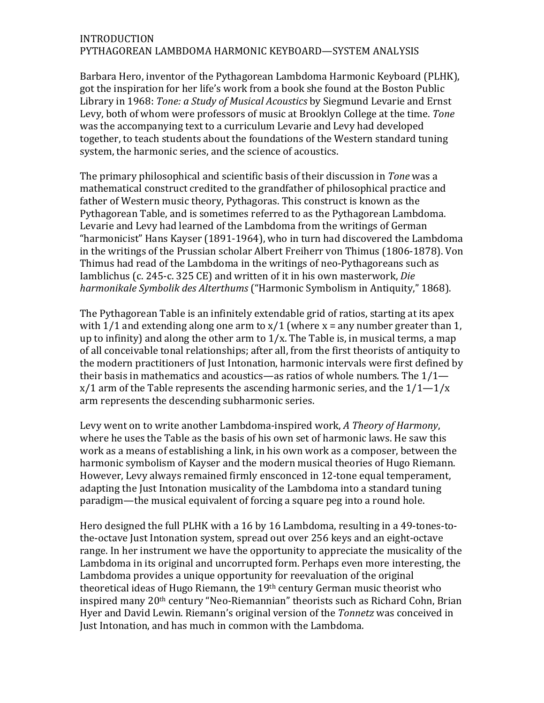## INTRODUCTION PYTHAGOREAN LAMBDOMA HARMONIC KEYBOARD—SYSTEM ANALYSIS

Barbara Hero, inventor of the Pythagorean Lambdoma Harmonic Keyboard (PLHK), got the inspiration for her life's work from a book she found at the Boston Public Library in 1968: *Tone: a Study of Musical Acoustics* by Siegmund Levarie and Ernst Levy, both of whom were professors of music at Brooklyn College at the time. *Tone* was the accompanying text to a curriculum Levarie and Levy had developed together, to teach students about the foundations of the Western standard tuning system, the harmonic series, and the science of acoustics.

The primary philosophical and scientific basis of their discussion in *Tone* was a mathematical construct credited to the grandfather of philosophical practice and father of Western music theory, Pythagoras. This construct is known as the Pythagorean Table, and is sometimes referred to as the Pythagorean Lambdoma. Levarie and Levy had learned of the Lambdoma from the writings of German "harmonicist" Hans Kayser (1891-1964), who in turn had discovered the Lambdoma in the writings of the Prussian scholar Albert Freiherr von Thimus (1806-1878). Von Thimus had read of the Lambdoma in the writings of neo-Pythagoreans such as Iamblichus (c. 245-c. 325 CE) and written of it in his own masterwork, *Die harmonikale Symbolik des Alterthums* ("Harmonic Symbolism in Antiquity," 1868).

The Pythagorean Table is an infinitely extendable grid of ratios, starting at its apex with  $1/1$  and extending along one arm to  $x/1$  (where  $x =$  any number greater than 1, up to infinity) and along the other arm to  $1/x$ . The Table is, in musical terms, a map of all conceivable tonal relationships; after all, from the first theorists of antiquity to the modern practitioners of Just Intonation, harmonic intervals were first defined by their basis in mathematics and acoustics—as ratios of whole numbers. The  $1/1$   $x/1$  arm of the Table represents the ascending harmonic series, and the  $1/1$ — $1/x$ arm represents the descending subharmonic series.

Levy went on to write another Lambdoma-inspired work, *A Theory of Harmony*, where he uses the Table as the basis of his own set of harmonic laws. He saw this work as a means of establishing a link, in his own work as a composer, between the harmonic symbolism of Kayser and the modern musical theories of Hugo Riemann. However, Levy always remained firmly ensconced in 12-tone equal temperament, adapting the Just Intonation musicality of the Lambdoma into a standard tuning paradigm—the musical equivalent of forcing a square peg into a round hole.

Hero designed the full PLHK with a 16 by 16 Lambdoma, resulting in a 49-tones-tothe-octave Just Intonation system, spread out over 256 keys and an eight-octave range. In her instrument we have the opportunity to appreciate the musicality of the Lambdoma in its original and uncorrupted form. Perhaps even more interesting, the Lambdoma provides a unique opportunity for reevaluation of the original theoretical ideas of Hugo Riemann, the  $19<sup>th</sup>$  century German music theorist who inspired many 20<sup>th</sup> century "Neo-Riemannian" theorists such as Richard Cohn, Brian Hyer and David Lewin. Riemann's original version of the *Tonnetz* was conceived in Just Intonation, and has much in common with the Lambdoma.